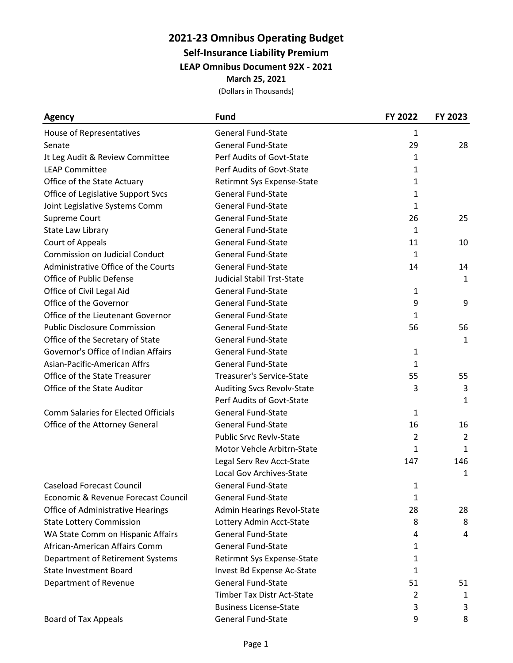# **2021-23 Omnibus Operating Budget**

**Self-Insurance Liability Premium**

**LEAP Omnibus Document 92X - 2021**

**March 25, 2021**

| <b>Agency</b>                              | <b>Fund</b>                       | FY 2022      | FY 2023      |
|--------------------------------------------|-----------------------------------|--------------|--------------|
| House of Representatives                   | <b>General Fund-State</b>         | 1            |              |
| Senate                                     | <b>General Fund-State</b>         | 29           | 28           |
| Jt Leg Audit & Review Committee            | Perf Audits of Govt-State         | 1            |              |
| <b>LEAP Committee</b>                      | Perf Audits of Govt-State         | $\mathbf{1}$ |              |
| Office of the State Actuary                | Retirmnt Sys Expense-State        | 1            |              |
| Office of Legislative Support Svcs         | <b>General Fund-State</b>         | 1            |              |
| Joint Legislative Systems Comm             | <b>General Fund-State</b>         | 1            |              |
| Supreme Court                              | <b>General Fund-State</b>         | 26           | 25           |
| State Law Library                          | <b>General Fund-State</b>         | $\mathbf{1}$ |              |
| Court of Appeals                           | <b>General Fund-State</b>         | 11           | 10           |
| <b>Commission on Judicial Conduct</b>      | <b>General Fund-State</b>         | 1            |              |
| Administrative Office of the Courts        | <b>General Fund-State</b>         | 14           | 14           |
| Office of Public Defense                   | <b>Judicial Stabil Trst-State</b> |              | $\mathbf{1}$ |
| Office of Civil Legal Aid                  | <b>General Fund-State</b>         | 1            |              |
| Office of the Governor                     | <b>General Fund-State</b>         | 9            | 9            |
| Office of the Lieutenant Governor          | <b>General Fund-State</b>         | $\mathbf{1}$ |              |
| <b>Public Disclosure Commission</b>        | <b>General Fund-State</b>         | 56           | 56           |
| Office of the Secretary of State           | <b>General Fund-State</b>         |              | $\mathbf{1}$ |
| Governor's Office of Indian Affairs        | <b>General Fund-State</b>         | 1            |              |
| Asian-Pacific-American Affrs               | <b>General Fund-State</b>         | 1            |              |
| Office of the State Treasurer              | <b>Treasurer's Service-State</b>  | 55           | 55           |
| Office of the State Auditor                | Auditing Svcs Revolv-State        | 3            | 3            |
|                                            | Perf Audits of Govt-State         |              | 1            |
| <b>Comm Salaries for Elected Officials</b> | <b>General Fund-State</b>         | 1            |              |
| Office of the Attorney General             | <b>General Fund-State</b>         | 16           | 16           |
|                                            | <b>Public Srvc Revlv-State</b>    | 2            | 2            |
|                                            | Motor Vehcle Arbitrn-State        | 1            | $\mathbf{1}$ |
|                                            | Legal Serv Rev Acct-State         | 147          | 146          |
|                                            | Local Gov Archives-State          |              | 1            |
| <b>Caseload Forecast Council</b>           | General Fund-State                | 1            |              |
| Economic & Revenue Forecast Council        | <b>General Fund-State</b>         | 1            |              |
| <b>Office of Administrative Hearings</b>   | Admin Hearings Revol-State        | 28           | 28           |
| <b>State Lottery Commission</b>            | Lottery Admin Acct-State          | 8            | 8            |
| WA State Comm on Hispanic Affairs          | <b>General Fund-State</b>         | 4            | 4            |
| African-American Affairs Comm              | <b>General Fund-State</b>         | 1            |              |
| Department of Retirement Systems           | Retirmnt Sys Expense-State        | 1            |              |
| <b>State Investment Board</b>              | Invest Bd Expense Ac-State        | 1            |              |
| Department of Revenue                      | <b>General Fund-State</b>         | 51           | 51           |
|                                            | Timber Tax Distr Act-State        | 2            | 1            |
|                                            | <b>Business License-State</b>     | 3            | 3            |
| Board of Tax Appeals                       | General Fund-State                | 9            | 8            |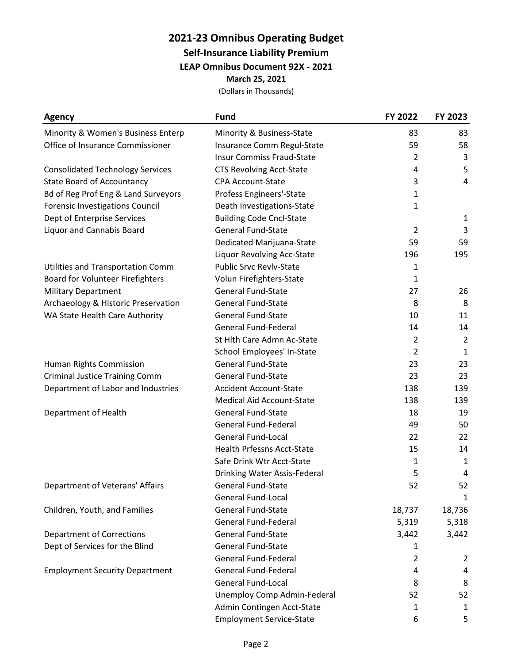#### **2021-23 Omnibus Operating Budget Self-Insurance Liability Premium LEAP Omnibus Document 92X - 2021 March 25, 2021**

| <b>Agency</b>                           | <b>Fund</b>                       | FY 2022        | FY 2023        |
|-----------------------------------------|-----------------------------------|----------------|----------------|
| Minority & Women's Business Enterp      | Minority & Business-State         | 83             | 83             |
| Office of Insurance Commissioner        | Insurance Comm Regul-State        | 59             | 58             |
|                                         | <b>Insur Commiss Fraud-State</b>  | 2              | 3              |
| <b>Consolidated Technology Services</b> | <b>CTS Revolving Acct-State</b>   | 4              | 5              |
| <b>State Board of Accountancy</b>       | <b>CPA Account-State</b>          | 3              | $\overline{4}$ |
| Bd of Reg Prof Eng & Land Surveyors     | Profess Engineers'-State          | 1              |                |
| <b>Forensic Investigations Council</b>  | Death Investigations-State        | 1              |                |
| Dept of Enterprise Services             | <b>Building Code Cncl-State</b>   |                | 1              |
| <b>Liquor and Cannabis Board</b>        | <b>General Fund-State</b>         | $\overline{2}$ | 3              |
|                                         | Dedicated Marijuana-State         | 59             | 59             |
|                                         | Liquor Revolving Acc-State        | 196            | 195            |
| Utilities and Transportation Comm       | <b>Public Srvc Revlv-State</b>    | 1              |                |
| Board for Volunteer Firefighters        | Volun Firefighters-State          | $\mathbf{1}$   |                |
| <b>Military Department</b>              | <b>General Fund-State</b>         | 27             | 26             |
| Archaeology & Historic Preservation     | General Fund-State                | 8              | 8              |
| WA State Health Care Authority          | <b>General Fund-State</b>         | 10             | 11             |
|                                         | <b>General Fund-Federal</b>       | 14             | 14             |
|                                         | St Hlth Care Admn Ac-State        | $\overline{2}$ | $\overline{2}$ |
|                                         | School Employees' In-State        | $\overline{2}$ | 1              |
| Human Rights Commission                 | <b>General Fund-State</b>         | 23             | 23             |
| <b>Criminal Justice Training Comm</b>   | <b>General Fund-State</b>         | 23             | 23             |
| Department of Labor and Industries      | <b>Accident Account-State</b>     | 138            | 139            |
|                                         | <b>Medical Aid Account-State</b>  | 138            | 139            |
| Department of Health                    | <b>General Fund-State</b>         | 18             | 19             |
|                                         | <b>General Fund-Federal</b>       | 49             | 50             |
|                                         | <b>General Fund-Local</b>         | 22             | 22             |
|                                         | <b>Health Prfessns Acct-State</b> | 15             | 14             |
|                                         | Safe Drink Wtr Acct-State         | 1              | $\mathbf{1}$   |
|                                         | Drinking Water Assis-Federal      | 5              | 4              |
| Department of Veterans' Affairs         | <b>General Fund-State</b>         | 52             | 52             |
|                                         | <b>General Fund-Local</b>         |                | 1              |
| Children, Youth, and Families           | <b>General Fund-State</b>         | 18,737         | 18,736         |
|                                         | <b>General Fund-Federal</b>       | 5,319          | 5,318          |
| <b>Department of Corrections</b>        | <b>General Fund-State</b>         | 3,442          | 3,442          |
| Dept of Services for the Blind          | <b>General Fund-State</b>         | 1              |                |
|                                         | <b>General Fund-Federal</b>       | $\overline{2}$ | 2              |
| <b>Employment Security Department</b>   | <b>General Fund-Federal</b>       | 4              | 4              |
|                                         | <b>General Fund-Local</b>         | 8              | 8              |
|                                         | Unemploy Comp Admin-Federal       | 52             | 52             |
|                                         | Admin Contingen Acct-State        | 1              | $\mathbf{1}$   |
|                                         | <b>Employment Service-State</b>   | 6              | 5              |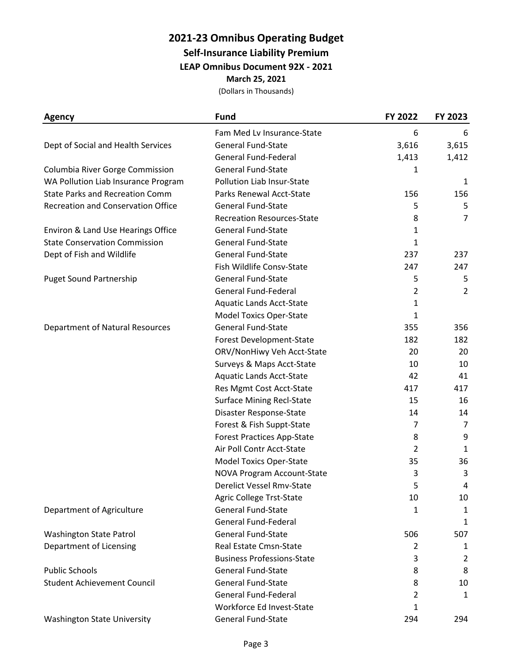### **2021-23 Omnibus Operating Budget Self-Insurance Liability Premium**

**LEAP Omnibus Document 92X - 2021**

**March 25, 2021**

| <b>Agency</b>                             | <b>Fund</b>                       | FY 2022        | FY 2023        |
|-------------------------------------------|-----------------------------------|----------------|----------------|
|                                           | Fam Med Lv Insurance-State        | 6              | 6              |
| Dept of Social and Health Services        | <b>General Fund-State</b>         | 3,616          | 3,615          |
|                                           | <b>General Fund-Federal</b>       | 1,413          | 1,412          |
| Columbia River Gorge Commission           | <b>General Fund-State</b>         | 1              |                |
| WA Pollution Liab Insurance Program       | Pollution Liab Insur-State        |                | 1              |
| <b>State Parks and Recreation Comm</b>    | Parks Renewal Acct-State          | 156            | 156            |
| <b>Recreation and Conservation Office</b> | <b>General Fund-State</b>         | 5              | 5              |
|                                           | <b>Recreation Resources-State</b> | 8              | 7              |
| Environ & Land Use Hearings Office        | <b>General Fund-State</b>         | 1              |                |
| <b>State Conservation Commission</b>      | <b>General Fund-State</b>         | 1              |                |
| Dept of Fish and Wildlife                 | <b>General Fund-State</b>         | 237            | 237            |
|                                           | Fish Wildlife Consv-State         | 247            | 247            |
| <b>Puget Sound Partnership</b>            | <b>General Fund-State</b>         | 5              | 5              |
|                                           | <b>General Fund-Federal</b>       | $\overline{2}$ | $\overline{2}$ |
|                                           | <b>Aquatic Lands Acct-State</b>   | 1              |                |
|                                           | <b>Model Toxics Oper-State</b>    | $\mathbf{1}$   |                |
| <b>Department of Natural Resources</b>    | <b>General Fund-State</b>         | 355            | 356            |
|                                           | Forest Development-State          | 182            | 182            |
|                                           | ORV/NonHiwy Veh Acct-State        | 20             | 20             |
|                                           | Surveys & Maps Acct-State         | 10             | 10             |
|                                           | <b>Aquatic Lands Acct-State</b>   | 42             | 41             |
|                                           | Res Mgmt Cost Acct-State          | 417            | 417            |
|                                           | <b>Surface Mining Recl-State</b>  | 15             | 16             |
|                                           | Disaster Response-State           | 14             | 14             |
|                                           | Forest & Fish Suppt-State         | 7              | 7              |
|                                           | <b>Forest Practices App-State</b> | 8              | 9              |
|                                           | Air Poll Contr Acct-State         | $\overline{2}$ | 1              |
|                                           | Model Toxics Oper-State           | 35             | 36             |
|                                           | NOVA Program Account-State        | 3              | 3              |
|                                           | Derelict Vessel Rmv-State         | 5              | 4              |
|                                           | Agric College Trst-State          | 10             | 10             |
| Department of Agriculture                 | <b>General Fund-State</b>         | 1              | $\mathbf{1}$   |
|                                           | <b>General Fund-Federal</b>       |                | $\mathbf{1}$   |
| Washington State Patrol                   | <b>General Fund-State</b>         | 506            | 507            |
| Department of Licensing                   | Real Estate Cmsn-State            | 2              | 1              |
|                                           | <b>Business Professions-State</b> | 3              | 2              |
| <b>Public Schools</b>                     | <b>General Fund-State</b>         | 8              | 8              |
| <b>Student Achievement Council</b>        | <b>General Fund-State</b>         | 8              | 10             |
|                                           | <b>General Fund-Federal</b>       | 2              | $\mathbf{1}$   |
|                                           | Workforce Ed Invest-State         | 1              |                |
| <b>Washington State University</b>        | General Fund-State                | 294            | 294            |